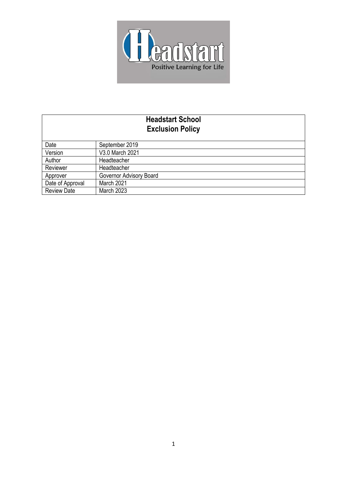

# **Headstart School Exclusion Policy**

| Date               | September 2019          |
|--------------------|-------------------------|
| Version            | V3.0 March 2021         |
| Author             | Headteacher             |
| Reviewer           | Headteacher             |
| Approver           | Governor Advisory Board |
| Date of Approval   | March 2021              |
| <b>Review Date</b> | <b>March 2023</b>       |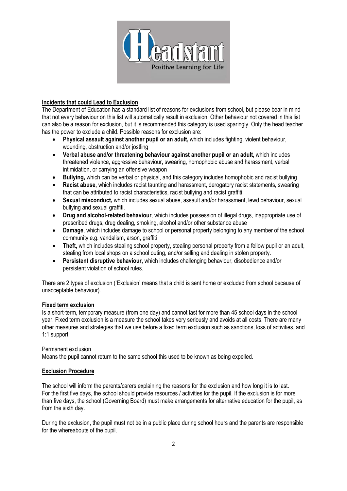

#### **Incidents that could Lead to Exclusion**

The Department of Education has a standard list of reasons for exclusions from school, but please bear in mind that not every behaviour on this list will automatically result in exclusion. Other behaviour not covered in this list can also be a reason for exclusion, but it is recommended this category is used sparingly. Only the head teacher has the power to exclude a child. Possible reasons for exclusion are:

- **Physical assault against another pupil or an adult,** which includes fighting, violent behaviour, wounding, obstruction and/or jostling
- **Verbal abuse and/or threatening behaviour against another pupil or an adult,** which includes threatened violence, aggressive behaviour, swearing, homophobic abuse and harassment, verbal intimidation, or carrying an offensive weapon
- **Bullying,** which can be verbal or physical, and this category includes homophobic and racist bullying
- **Racist abuse,** which includes racist taunting and harassment, derogatory racist statements, swearing that can be attributed to racist characteristics, racist bullying and racist graffiti.
- **Sexual misconduct,** which includes sexual abuse, assault and/or harassment, lewd behaviour, sexual bullying and sexual graffiti.
- **Drug and alcohol-related behaviour**, which includes possession of illegal drugs, inappropriate use of prescribed drugs, drug dealing, smoking, alcohol and/or other substance abuse
- **Damage**, which includes damage to school or personal property belonging to any member of the school community e.g. vandalism, arson, graffiti
- **Theft,** which includes stealing school property, stealing personal property from a fellow pupil or an adult, stealing from local shops on a school outing, and/or selling and dealing in stolen property.
- **Persistent disruptive behaviour,** which includes challenging behaviour, disobedience and/or persistent violation of school rules.

There are 2 types of exclusion ('Exclusion' means that a child is sent home or excluded from school because of unacceptable behaviour).

#### **Fixed term exclusion**

Is a short-term, temporary measure (from one day) and cannot last for more than 45 school days in the school year. Fixed term exclusion is a measure the school takes very seriously and avoids at all costs. There are many other measures and strategies that we use before a fixed term exclusion such as sanctions, loss of activities, and 1:1 support.

#### Permanent exclusion

Means the pupil cannot return to the same school this used to be known as being expelled.

#### **Exclusion Procedure**

The school will inform the parents/carers explaining the reasons for the exclusion and how long it is to last. For the first five days, the school should provide resources / activities for the pupil. If the exclusion is for more than five days, the school (Governing Board) must make arrangements for alternative education for the pupil, as from the sixth day.

During the exclusion, the pupil must not be in a public place during school hours and the parents are responsible for the whereabouts of the pupil.